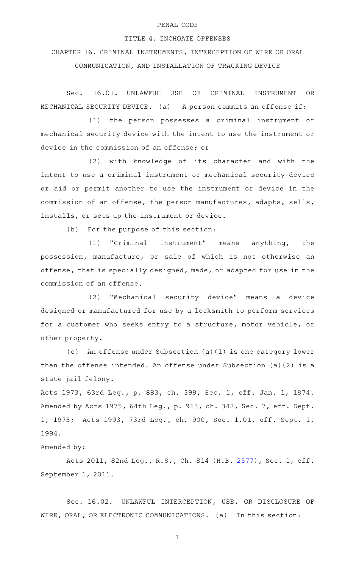## PENAL CODE

## TITLE 4. INCHOATE OFFENSES

CHAPTER 16. CRIMINAL INSTRUMENTS, INTERCEPTION OF WIRE OR ORAL

COMMUNICATION, AND INSTALLATION OF TRACKING DEVICE

Sec. 16.01. UNLAWFUL USE OF CRIMINAL INSTRUMENT OR MECHANICAL SECURITY DEVICE. (a) A person commits an offense if:

(1) the person possesses a criminal instrument or mechanical security device with the intent to use the instrument or device in the commission of an offense; or

(2) with knowledge of its character and with the intent to use a criminal instrument or mechanical security device or aid or permit another to use the instrument or device in the commission of an offense, the person manufactures, adapts, sells, installs, or sets up the instrument or device.

(b) For the purpose of this section:

(1) "Criminal instrument" means anything, the possession, manufacture, or sale of which is not otherwise an offense, that is specially designed, made, or adapted for use in the commission of an offense.

(2) "Mechanical security device" means a device designed or manufactured for use by a locksmith to perform services for a customer who seeks entry to a structure, motor vehicle, or other property.

An offense under Subsection (a)(1) is one category lower than the offense intended. An offense under Subsection (a)(2) is a state jail felony.

Acts 1973, 63rd Leg., p. 883, ch. 399, Sec. 1, eff. Jan. 1, 1974. Amended by Acts 1975, 64th Leg., p. 913, ch. 342, Sec. 7, eff. Sept. 1, 1975; Acts 1993, 73rd Leg., ch. 900, Sec. 1.01, eff. Sept. 1, 1994.

Amended by:

Acts 2011, 82nd Leg., R.S., Ch. 814 (H.B. [2577](http://www.legis.state.tx.us/tlodocs/82R/billtext/html/HB02577F.HTM)), Sec. 1, eff. September 1, 2011.

Sec. 16.02. UNLAWFUL INTERCEPTION, USE, OR DISCLOSURE OF WIRE, ORAL, OR ELECTRONIC COMMUNICATIONS. (a) In this section: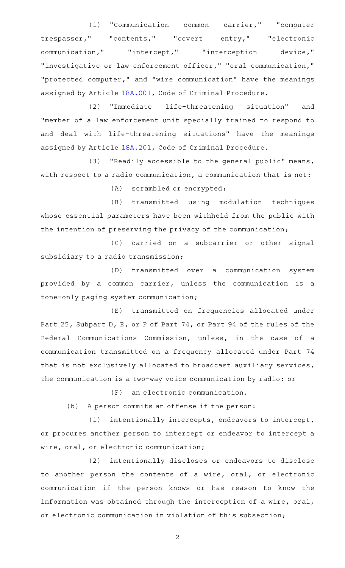(1) "Communication common carrier," "computer trespasser," "contents," "covert entry," "electronic communication," "intercept," "interception device," "investigative or law enforcement officer," "oral communication," "protected computer," and "wire communication" have the meanings assigned by Article [18A.001](http://www.statutes.legis.state.tx.us/GetStatute.aspx?Code=CR&Value=18A.001), Code of Criminal Procedure.

(2) "Immediate life-threatening situation" and "member of a law enforcement unit specially trained to respond to and deal with life-threatening situations" have the meanings assigned by Article [18A.201](http://www.statutes.legis.state.tx.us/GetStatute.aspx?Code=CR&Value=18A.201), Code of Criminal Procedure.

 $(3)$  "Readily accessible to the general public" means, with respect to a radio communication, a communication that is not:

(A) scrambled or encrypted;

(B) transmitted using modulation techniques whose essential parameters have been withheld from the public with the intention of preserving the privacy of the communication;

(C) carried on a subcarrier or other signal subsidiary to a radio transmission;

(D) transmitted over a communication system provided by a common carrier, unless the communication is a tone-only paging system communication;

(E) transmitted on frequencies allocated under Part 25, Subpart D, E, or F of Part 74, or Part 94 of the rules of the Federal Communications Commission, unless, in the case of a communication transmitted on a frequency allocated under Part 74 that is not exclusively allocated to broadcast auxiliary services, the communication is a two-way voice communication by radio; or

(F) an electronic communication.

(b) A person commits an offense if the person:

 $(1)$  intentionally intercepts, endeavors to intercept, or procures another person to intercept or endeavor to intercept a wire, oral, or electronic communication;

(2) intentionally discloses or endeavors to disclose to another person the contents of a wire, oral, or electronic communication if the person knows or has reason to know the information was obtained through the interception of a wire, oral, or electronic communication in violation of this subsection;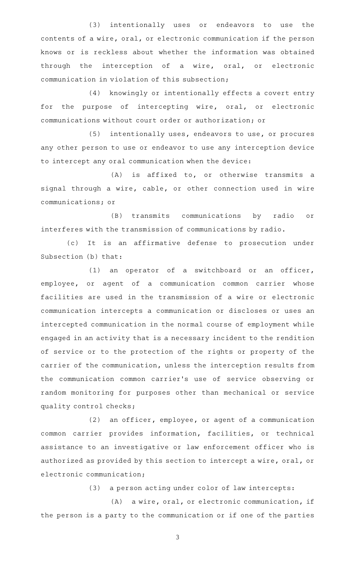(3) intentionally uses or endeavors to use the contents of a wire, oral, or electronic communication if the person knows or is reckless about whether the information was obtained through the interception of a wire, oral, or electronic communication in violation of this subsection;

(4) knowingly or intentionally effects a covert entry for the purpose of intercepting wire, oral, or electronic communications without court order or authorization; or

 $(5)$  intentionally uses, endeavors to use, or procures any other person to use or endeavor to use any interception device to intercept any oral communication when the device:

 $(A)$  is affixed to, or otherwise transmits a signal through a wire, cable, or other connection used in wire communications; or

(B) transmits communications by radio or interferes with the transmission of communications by radio.

(c) It is an affirmative defense to prosecution under Subsection (b) that:

 $(1)$  an operator of a switchboard or an officer, employee, or agent of a communication common carrier whose facilities are used in the transmission of a wire or electronic communication intercepts a communication or discloses or uses an intercepted communication in the normal course of employment while engaged in an activity that is a necessary incident to the rendition of service or to the protection of the rights or property of the carrier of the communication, unless the interception results from the communication common carrier 's use of service observing or random monitoring for purposes other than mechanical or service quality control checks;

 $(2)$  an officer, employee, or agent of a communication common carrier provides information, facilities, or technical assistance to an investigative or law enforcement officer who is authorized as provided by this section to intercept a wire, oral, or electronic communication;

(3) a person acting under color of law intercepts:

(A) a wire, oral, or electronic communication, if the person is a party to the communication or if one of the parties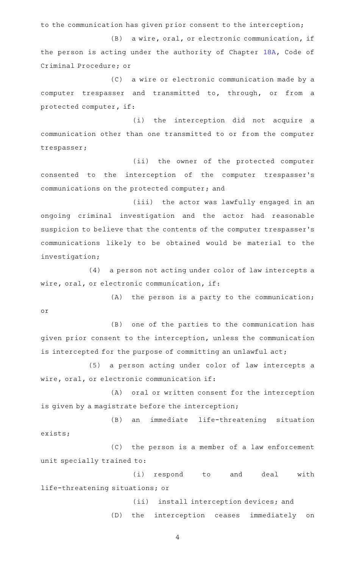to the communication has given prior consent to the interception;

(B) a wire, oral, or electronic communication, if the person is acting under the authority of Chapter [18A,](http://www.statutes.legis.state.tx.us/GetStatute.aspx?Code=CR&Value=18A) Code of Criminal Procedure; or

(C) a wire or electronic communication made by a computer trespasser and transmitted to, through, or from a protected computer, if:

(i) the interception did not acquire a communication other than one transmitted to or from the computer trespasser;

(ii) the owner of the protected computer consented to the interception of the computer trespasser 's communications on the protected computer; and

(iii) the actor was lawfully engaged in an ongoing criminal investigation and the actor had reasonable suspicion to believe that the contents of the computer trespasser 's communications likely to be obtained would be material to the investigation;

(4) a person not acting under color of law intercepts a wire, oral, or electronic communication, if:

 $(A)$  the person is a party to the communication; or

(B) one of the parties to the communication has given prior consent to the interception, unless the communication is intercepted for the purpose of committing an unlawful act;

(5) a person acting under color of law intercepts a wire, oral, or electronic communication if:

(A) oral or written consent for the interception is given by a magistrate before the interception;

(B) an immediate life-threatening situation exists;

(C) the person is a member of a law enforcement unit specially trained to:

(i) respond to and deal with life-threatening situations; or

> (ii) install interception devices; and (D) the interception ceases immediately on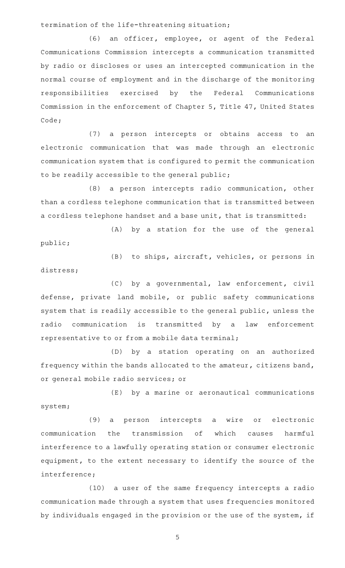termination of the life-threatening situation;

distress;

(6) an officer, employee, or agent of the Federal Communications Commission intercepts a communication transmitted by radio or discloses or uses an intercepted communication in the normal course of employment and in the discharge of the monitoring responsibilities exercised by the Federal Communications Commission in the enforcement of Chapter 5, Title 47, United States Code;

(7) a person intercepts or obtains access to an electronic communication that was made through an electronic communication system that is configured to permit the communication to be readily accessible to the general public;

(8) a person intercepts radio communication, other than a cordless telephone communication that is transmitted between a cordless telephone handset and a base unit, that is transmitted:

(A) by a station for the use of the general public;

(B) to ships, aircraft, vehicles, or persons in

(C) by a governmental, law enforcement, civil defense, private land mobile, or public safety communications system that is readily accessible to the general public, unless the radio communication is transmitted by a law enforcement representative to or from a mobile data terminal;

(D) by a station operating on an authorized frequency within the bands allocated to the amateur, citizens band, or general mobile radio services; or

(E) by a marine or aeronautical communications system;

(9) a person intercepts a wire or electronic communication the transmission of which causes harmful interference to a lawfully operating station or consumer electronic equipment, to the extent necessary to identify the source of the interference;

(10) a user of the same frequency intercepts a radio communication made through a system that uses frequencies monitored by individuals engaged in the provision or the use of the system, if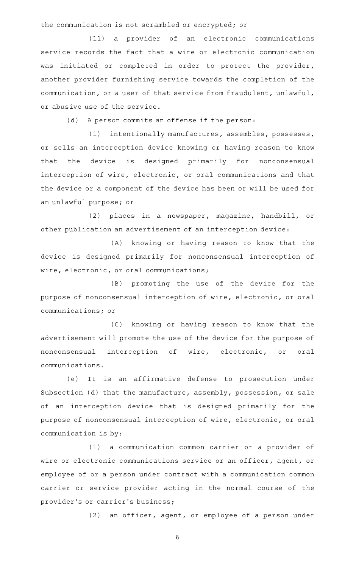the communication is not scrambled or encrypted; or

(11) a provider of an electronic communications service records the fact that a wire or electronic communication was initiated or completed in order to protect the provider, another provider furnishing service towards the completion of the communication, or a user of that service from fraudulent, unlawful, or abusive use of the service.

(d) A person commits an offense if the person:

(1) intentionally manufactures, assembles, possesses, or sells an interception device knowing or having reason to know that the device is designed primarily for nonconsensual interception of wire, electronic, or oral communications and that the device or a component of the device has been or will be used for an unlawful purpose; or

(2) places in a newspaper, magazine, handbill, or other publication an advertisement of an interception device:

(A) knowing or having reason to know that the device is designed primarily for nonconsensual interception of wire, electronic, or oral communications;

(B) promoting the use of the device for the purpose of nonconsensual interception of wire, electronic, or oral communications; or

(C) knowing or having reason to know that the advertisement will promote the use of the device for the purpose of nonconsensual interception of wire, electronic, or oral communications.

(e) It is an affirmative defense to prosecution under Subsection (d) that the manufacture, assembly, possession, or sale of an interception device that is designed primarily for the purpose of nonconsensual interception of wire, electronic, or oral communication is by:

(1) a communication common carrier or a provider of wire or electronic communications service or an officer, agent, or employee of or a person under contract with a communication common carrier or service provider acting in the normal course of the provider 's or carrier 's business;

 $(2)$  an officer, agent, or employee of a person under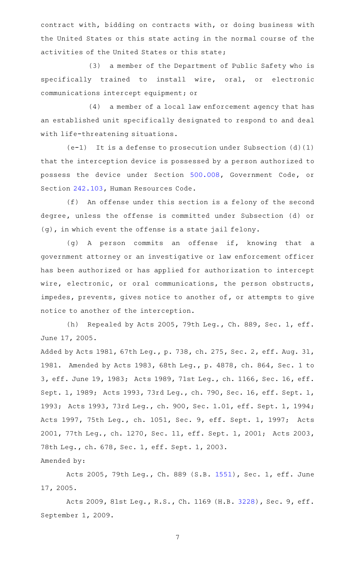contract with, bidding on contracts with, or doing business with the United States or this state acting in the normal course of the activities of the United States or this state;

(3) a member of the Department of Public Safety who is specifically trained to install wire, oral, or electronic communications intercept equipment; or

 $(4)$  a member of a local law enforcement agency that has an established unit specifically designated to respond to and deal with life-threatening situations.

 $(e-1)$  It is a defense to prosecution under Subsection (d)(1) that the interception device is possessed by a person authorized to possess the device under Section [500.008,](http://www.statutes.legis.state.tx.us/GetStatute.aspx?Code=GV&Value=500.008) Government Code, or Section [242.103,](http://www.statutes.legis.state.tx.us/GetStatute.aspx?Code=HR&Value=242.103) Human Resources Code.

(f) An offense under this section is a felony of the second degree, unless the offense is committed under Subsection (d) or (g), in which event the offense is a state jail felony.

(g) A person commits an offense if, knowing that a government attorney or an investigative or law enforcement officer has been authorized or has applied for authorization to intercept wire, electronic, or oral communications, the person obstructs, impedes, prevents, gives notice to another of, or attempts to give notice to another of the interception.

(h) Repealed by Acts 2005, 79th Leg., Ch. 889, Sec. 1, eff. June 17, 2005.

Added by Acts 1981, 67th Leg., p. 738, ch. 275, Sec. 2, eff. Aug. 31, 1981. Amended by Acts 1983, 68th Leg., p. 4878, ch. 864, Sec. 1 to 3, eff. June 19, 1983; Acts 1989, 71st Leg., ch. 1166, Sec. 16, eff. Sept. 1, 1989; Acts 1993, 73rd Leg., ch. 790, Sec. 16, eff. Sept. 1, 1993; Acts 1993, 73rd Leg., ch. 900, Sec. 1.01, eff. Sept. 1, 1994; Acts 1997, 75th Leg., ch. 1051, Sec. 9, eff. Sept. 1, 1997; Acts 2001, 77th Leg., ch. 1270, Sec. 11, eff. Sept. 1, 2001; Acts 2003, 78th Leg., ch. 678, Sec. 1, eff. Sept. 1, 2003.

Amended by:

Acts 2005, 79th Leg., Ch. 889 (S.B. [1551\)](http://www.legis.state.tx.us/tlodocs/79R/billtext/html/SB01551F.HTM), Sec. 1, eff. June 17, 2005.

Acts 2009, 81st Leg., R.S., Ch. 1169 (H.B. [3228](http://www.legis.state.tx.us/tlodocs/81R/billtext/html/HB03228F.HTM)), Sec. 9, eff. September 1, 2009.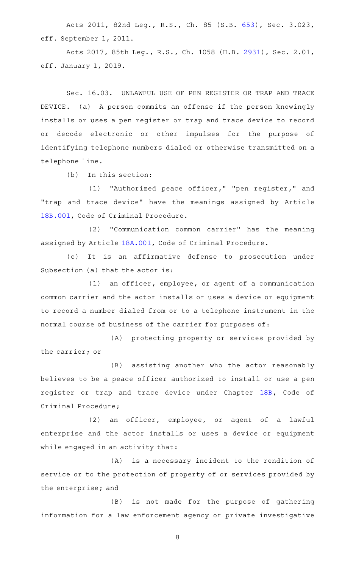Acts 2011, 82nd Leg., R.S., Ch. 85 (S.B. [653\)](http://www.legis.state.tx.us/tlodocs/82R/billtext/html/SB00653F.HTM), Sec. 3.023, eff. September 1, 2011.

Acts 2017, 85th Leg., R.S., Ch. 1058 (H.B. [2931](http://www.legis.state.tx.us/tlodocs/85R/billtext/html/HB02931F.HTM)), Sec. 2.01, eff. January 1, 2019.

Sec. 16.03. UNLAWFUL USE OF PEN REGISTER OR TRAP AND TRACE DEVICE. (a) A person commits an offense if the person knowingly installs or uses a pen register or trap and trace device to record or decode electronic or other impulses for the purpose of identifying telephone numbers dialed or otherwise transmitted on a telephone line.

 $(b)$  In this section:

(1) "Authorized peace officer," "pen register," and "trap and trace device" have the meanings assigned by Article [18B.001,](http://www.statutes.legis.state.tx.us/GetStatute.aspx?Code=CR&Value=18B.001) Code of Criminal Procedure.

(2) "Communication common carrier" has the meaning assigned by Article [18A.001](http://www.statutes.legis.state.tx.us/GetStatute.aspx?Code=CR&Value=18A.001), Code of Criminal Procedure.

(c) It is an affirmative defense to prosecution under Subsection (a) that the actor is:

 $(1)$  an officer, employee, or agent of a communication common carrier and the actor installs or uses a device or equipment to record a number dialed from or to a telephone instrument in the normal course of business of the carrier for purposes of:

(A) protecting property or services provided by the carrier; or

(B) assisting another who the actor reasonably believes to be a peace officer authorized to install or use a pen register or trap and trace device under Chapter [18B](http://www.statutes.legis.state.tx.us/GetStatute.aspx?Code=CR&Value=18B), Code of Criminal Procedure;

(2) an officer, employee, or agent of a lawful enterprise and the actor installs or uses a device or equipment while engaged in an activity that:

(A) is a necessary incident to the rendition of service or to the protection of property of or services provided by the enterprise; and

(B) is not made for the purpose of gathering information for a law enforcement agency or private investigative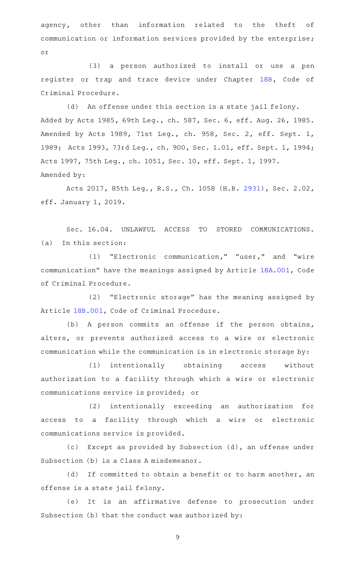agency, other than information related to the theft of communication or information services provided by the enterprise; or

(3) a person authorized to install or use a pen register or trap and trace device under Chapter [18B](http://www.statutes.legis.state.tx.us/GetStatute.aspx?Code=CR&Value=18B), Code of Criminal Procedure.

(d) An offense under this section is a state jail felony. Added by Acts 1985, 69th Leg., ch. 587, Sec. 6, eff. Aug. 26, 1985. Amended by Acts 1989, 71st Leg., ch. 958, Sec. 2, eff. Sept. 1, 1989; Acts 1993, 73rd Leg., ch. 900, Sec. 1.01, eff. Sept. 1, 1994; Acts 1997, 75th Leg., ch. 1051, Sec. 10, eff. Sept. 1, 1997. Amended by:

Acts 2017, 85th Leg., R.S., Ch. 1058 (H.B. [2931](http://www.legis.state.tx.us/tlodocs/85R/billtext/html/HB02931F.HTM)), Sec. 2.02, eff. January 1, 2019.

Sec. 16.04. UNLAWFUL ACCESS TO STORED COMMUNICATIONS.  $(a)$  In this section:

(1) "Electronic communication," "user," and "wire communication" have the meanings assigned by Article [18A.001](http://www.statutes.legis.state.tx.us/GetStatute.aspx?Code=CR&Value=18A.001), Code of Criminal Procedure.

(2) "Electronic storage" has the meaning assigned by Article [18B.001,](http://www.statutes.legis.state.tx.us/GetStatute.aspx?Code=CR&Value=18B.001) Code of Criminal Procedure.

(b) A person commits an offense if the person obtains, alters, or prevents authorized access to a wire or electronic communication while the communication is in electronic storage by:

(1) intentionally obtaining access without authorization to a facility through which a wire or electronic communications service is provided; or

(2) intentionally exceeding an authorization for access to a facility through which a wire or electronic communications service is provided.

(c) Except as provided by Subsection (d), an offense under Subsection (b) is a Class A misdemeanor.

(d) If committed to obtain a benefit or to harm another, an offense is a state jail felony.

(e) It is an affirmative defense to prosecution under Subsection (b) that the conduct was authorized by: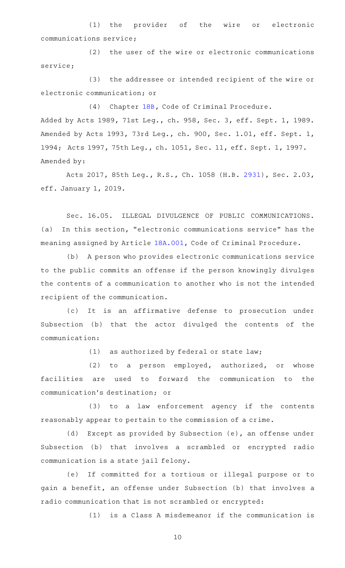(1) the provider of the wire or electronic communications service;

(2) the user of the wire or electronic communications service;

(3) the addressee or intended recipient of the wire or electronic communication; or

(4) Chapter [18B,](http://www.statutes.legis.state.tx.us/GetStatute.aspx?Code=CR&Value=18B) Code of Criminal Procedure. Added by Acts 1989, 71st Leg., ch. 958, Sec. 3, eff. Sept. 1, 1989. Amended by Acts 1993, 73rd Leg., ch. 900, Sec. 1.01, eff. Sept. 1, 1994; Acts 1997, 75th Leg., ch. 1051, Sec. 11, eff. Sept. 1, 1997. Amended by:

Acts 2017, 85th Leg., R.S., Ch. 1058 (H.B. [2931](http://www.legis.state.tx.us/tlodocs/85R/billtext/html/HB02931F.HTM)), Sec. 2.03, eff. January 1, 2019.

Sec. 16.05. ILLEGAL DIVULGENCE OF PUBLIC COMMUNICATIONS. (a) In this section, "electronic communications service" has the meaning assigned by Article [18A.001](http://www.statutes.legis.state.tx.us/GetStatute.aspx?Code=CR&Value=18A.001), Code of Criminal Procedure.

(b) A person who provides electronic communications service to the public commits an offense if the person knowingly divulges the contents of a communication to another who is not the intended recipient of the communication.

(c) It is an affirmative defense to prosecution under Subsection (b) that the actor divulged the contents of the communication:

 $(1)$  as authorized by federal or state law;

 $(2)$  to a person employed, authorized, or whose facilities are used to forward the communication to the communication 's destination; or

(3) to a law enforcement agency if the contents reasonably appear to pertain to the commission of a crime.

(d) Except as provided by Subsection (e), an offense under Subsection (b) that involves a scrambled or encrypted radio communication is a state jail felony.

(e) If committed for a tortious or illegal purpose or to gain a benefit, an offense under Subsection (b) that involves a radio communication that is not scrambled or encrypted:

 $(1)$  is a Class A misdemeanor if the communication is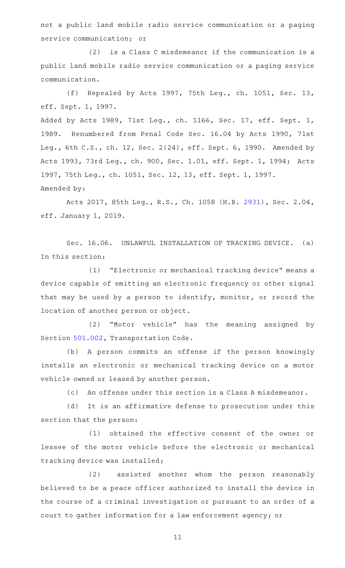not a public land mobile radio service communication or a paging service communication; or

(2) is a Class C misdemeanor if the communication is a public land mobile radio service communication or a paging service communication.

(f) Repealed by Acts 1997, 75th Leg., ch. 1051, Sec. 13, eff. Sept. 1, 1997.

Added by Acts 1989, 71st Leg., ch. 1166, Sec. 17, eff. Sept. 1, 1989. Renumbered from Penal Code Sec. 16.04 by Acts 1990, 71st Leg., 6th C.S., ch. 12, Sec. 2(24), eff. Sept. 6, 1990. Amended by Acts 1993, 73rd Leg., ch. 900, Sec. 1.01, eff. Sept. 1, 1994; Acts 1997, 75th Leg., ch. 1051, Sec. 12, 13, eff. Sept. 1, 1997. Amended by:

Acts 2017, 85th Leg., R.S., Ch. 1058 (H.B. [2931](http://www.legis.state.tx.us/tlodocs/85R/billtext/html/HB02931F.HTM)), Sec. 2.04, eff. January 1, 2019.

Sec. 16.06. UNLAWFUL INSTALLATION OF TRACKING DEVICE. (a) In this section:

(1) "Electronic or mechanical tracking device" means a device capable of emitting an electronic frequency or other signal that may be used by a person to identify, monitor, or record the location of another person or object.

(2) "Motor vehicle" has the meaning assigned by Section [501.002,](http://www.statutes.legis.state.tx.us/GetStatute.aspx?Code=TN&Value=501.002) Transportation Code.

(b) A person commits an offense if the person knowingly installs an electronic or mechanical tracking device on a motor vehicle owned or leased by another person.

(c) An offense under this section is a Class A misdemeanor.

(d) It is an affirmative defense to prosecution under this section that the person:

(1) obtained the effective consent of the owner or lessee of the motor vehicle before the electronic or mechanical tracking device was installed;

(2) assisted another whom the person reasonably believed to be a peace officer authorized to install the device in the course of a criminal investigation or pursuant to an order of a court to gather information for a law enforcement agency; or